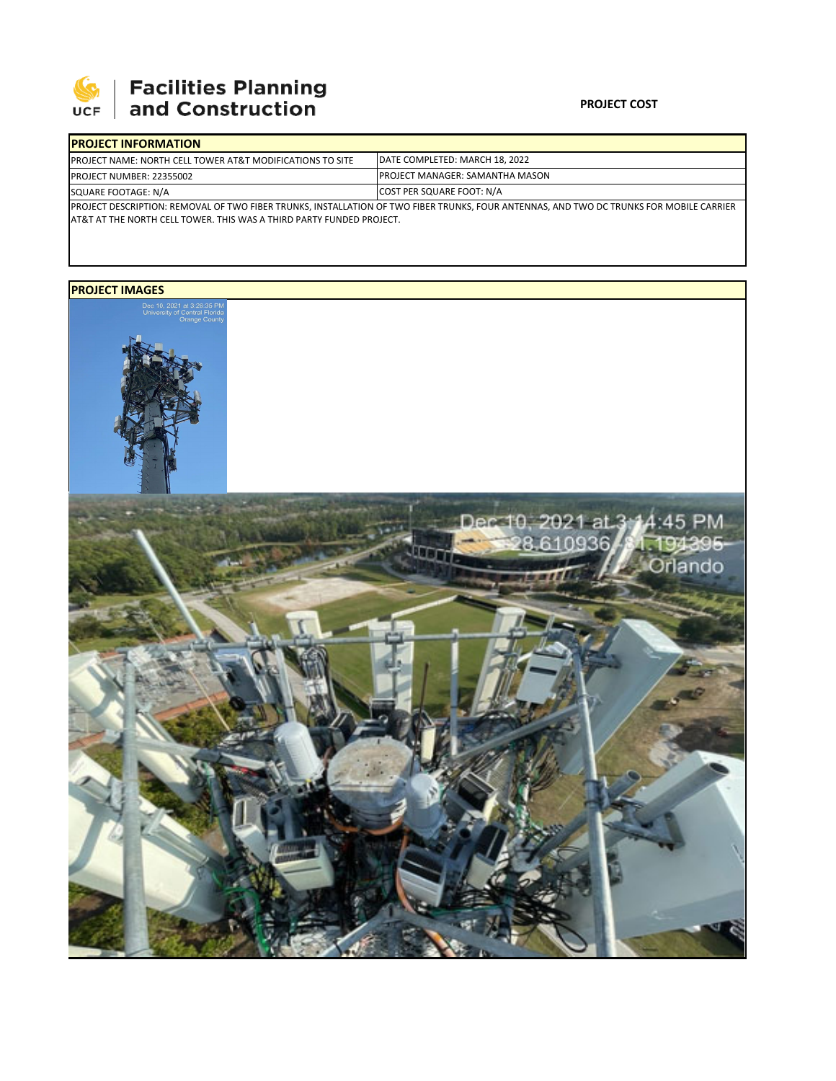

## | Facilities Planning<br>| and Construction

## **PROJECT COST**

|                                                                                                                                          | <b>IPROJECT INFORMATION</b>                                           |                                         |  |  |  |  |  |
|------------------------------------------------------------------------------------------------------------------------------------------|-----------------------------------------------------------------------|-----------------------------------------|--|--|--|--|--|
|                                                                                                                                          | <b>IPROJECT NAME: NORTH CELL TOWER AT&amp;T MODIFICATIONS TO SITE</b> | DATE COMPLETED: MARCH 18, 2022          |  |  |  |  |  |
|                                                                                                                                          | <b>PROJECT NUMBER: 22355002</b>                                       | <b>IPROJECT MANAGER: SAMANTHA MASON</b> |  |  |  |  |  |
| SQUARE FOOTAGE: N/A                                                                                                                      |                                                                       | COST PER SQUARE FOOT: N/A               |  |  |  |  |  |
| IPROJECT DESCRIPTION: REMOVAL OF TWO FIBER TRUNKS. INSTALLATION OF TWO FIBER TRUNKS. FOUR ANTENNAS. AND TWO DC TRUNKS FOR MOBILE CARRIER |                                                                       |                                         |  |  |  |  |  |

AT&T AT THE NORTH CELL TOWER. THIS WAS A THIRD PARTY FUNDED PROJECT.